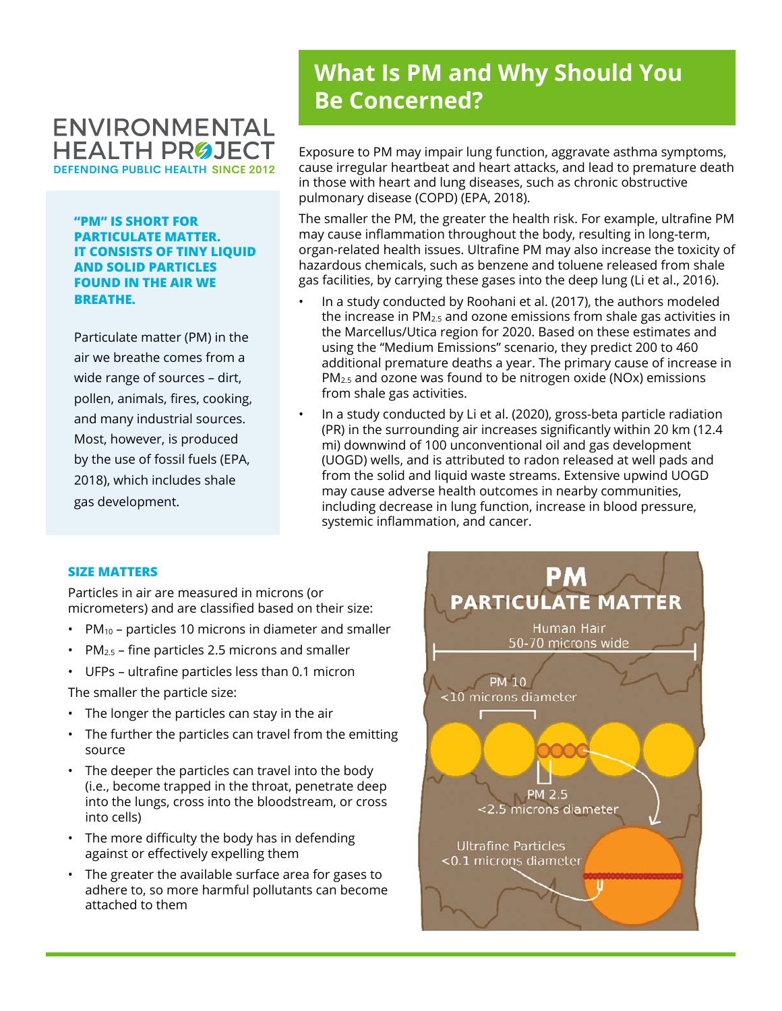# **ENVIRONMENTAL HEALTH PROJECT DEFENDING PUBLIC HEALTH SINCE 2012**

**"PM" IS SHORT FOR PARTICULATE MATTER. IT CONSISTS OF TINY LIQUID AND SOLID PARTICLES FOUND IN THE AIR WE BREATHE.**

Particulate matter (PM) in the air we breathe comes from a wide range of sources – dirt, pollen, animals, fires, cooking, and many industrial sources. Most, however, is produced by the use of fossil fuels (EPA, 2018), which includes shale gas development.

# **What Is PM and Why Should You Be Concerned?**

Exposure to PM may impair lung function, aggravate asthma symptoms, cause irregular heartbeat and heart attacks, and lead to premature death in those with heart and lung diseases, such as chronic obstructive pulmonary disease (COPD) (EPA, 2018).

The smaller the PM, the greater the health risk. For example, ultrafine PM may cause inflammation throughout the body, resulting in long-term, organ-related health issues. Ultrafine PM may also increase the toxicity of hazardous chemicals, such as benzene and toluene released from shale gas facilities, by carrying these gases into the deep lung (Li et al., 2016).

- In a study conducted by Roohani et al. (2017), the authors modeled the increase in PM2.5 and ozone emissions from shale gas activities in the Marcellus/Utica region for 2020. Based on these estimates and using the "Medium Emissions" scenario, they predict 200 to 460 additional premature deaths a year. The primary cause of increase in PM2.5 and ozone was found to be nitrogen oxide (NOx) emissions from shale gas activities.
- In a study conducted by Li et al. (2020), gross-beta particle radiation (PR) in the surrounding air increases significantly within 20 km (12.4 mi) downwind of 100 unconventional oil and gas development (UOGD) wells, and is attributed to radon released at well pads and from the solid and liquid waste streams. Extensive upwind UOGD may cause adverse health outcomes in nearby communities, including decrease in lung function, increase in blood pressure, systemic inflammation, and cancer.

#### **SIZE MATTERS**

Particles in air are measured in microns (or micrometers) and are classified based on their size:

- PM10 particles 10 microns in diameter and smaller
- PM2.5 fine particles 2.5 microns and smaller
- UFPs ultrafine particles less than 0.1 micron

The smaller the particle size:

- The longer the particles can stay in the air
- The further the particles can travel from the emitting source
- The deeper the particles can travel into the body (i.e., become trapped in the throat, penetrate deep into the lungs, cross into the bloodstream, or cross into cells)
- The more difficulty the body has in defending against or effectively expelling them
- The greater the available surface area for gases to adhere to, so more harmful pollutants can become attached to them